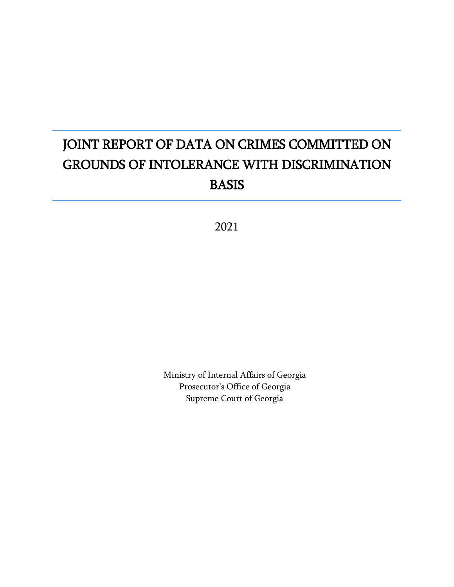# JOINT REPORT OF DATA ON CRIMES COMMITTED ON GROUNDS OF INTOLERANCE WITH DISCRIMINATION BASIS

2021

Ministry of Internal Affairs of Georgia Prosecutor's Office of Georgia Supreme Court of Georgia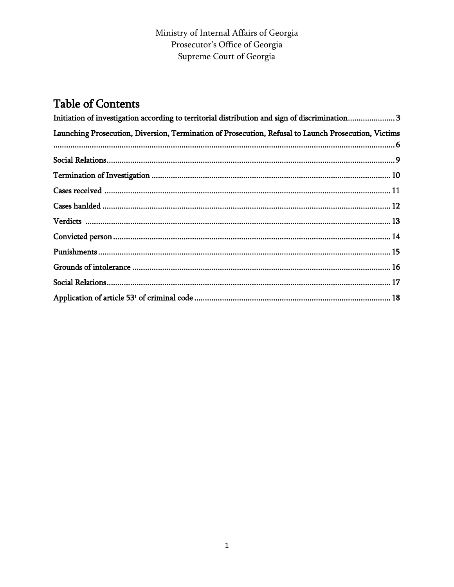### Ministry of Internal Affairs of Georgia Prosecutor's Office of Georgia Supreme Court of Georgia

# **Table of Contents**

| Initiation of investigation according to territorial distribution and sign of discrimination 3       |  |
|------------------------------------------------------------------------------------------------------|--|
| Launching Prosecution, Diversion, Termination of Prosecution, Refusal to Launch Prosecution, Victims |  |
|                                                                                                      |  |
|                                                                                                      |  |
|                                                                                                      |  |
|                                                                                                      |  |
|                                                                                                      |  |
|                                                                                                      |  |
|                                                                                                      |  |
|                                                                                                      |  |
|                                                                                                      |  |
|                                                                                                      |  |
|                                                                                                      |  |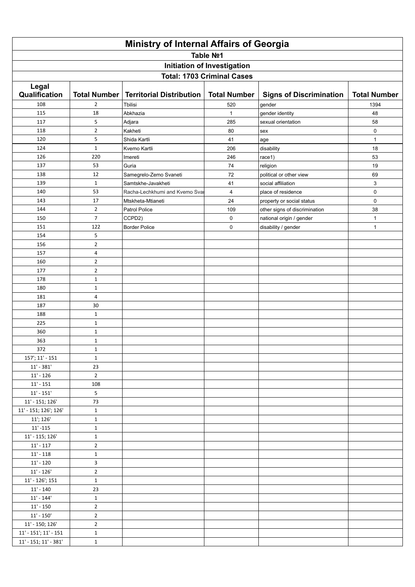| <b>Ministry of Internal Affairs of Georgia</b> |                     |                                 |                                   |                                |                     |  |  |  |
|------------------------------------------------|---------------------|---------------------------------|-----------------------------------|--------------------------------|---------------------|--|--|--|
| Table Nº1                                      |                     |                                 |                                   |                                |                     |  |  |  |
| Initiation of Investigation                    |                     |                                 |                                   |                                |                     |  |  |  |
|                                                |                     |                                 | <b>Total: 1703 Criminal Cases</b> |                                |                     |  |  |  |
| Legal                                          |                     |                                 |                                   |                                |                     |  |  |  |
| Qualification                                  | <b>Total Number</b> | <b>Territorial Distribution</b> | <b>Total Number</b>               | <b>Signs of Discrimination</b> | <b>Total Number</b> |  |  |  |
| 108                                            | $\overline{2}$      | Tbilisi                         | 520                               | gender                         | 1394                |  |  |  |
| 115                                            | 18                  | Abkhazia                        | 1                                 | gender identity                | 48                  |  |  |  |
| 117                                            | 5                   | Adjara                          | 285                               | sexual orientation             | 58                  |  |  |  |
| 118                                            | $\overline{2}$      | Kakheti                         | 80                                | sex                            | $\mathsf 0$         |  |  |  |
| 120                                            | 5                   | Shida Kartli                    | 41                                | age                            | $\mathbf{1}$        |  |  |  |
| 124                                            | $\mathbf{1}$        | Kvemo Kartli                    | 206                               | disability                     | 18                  |  |  |  |
| 126                                            | 220                 | Imereti                         | 246                               | race1)                         | 53                  |  |  |  |
| 137                                            | 53                  | Guria                           | 74                                | religion                       | 19                  |  |  |  |
| 138                                            | 12                  | Samegrelo-Zemo Svaneti          | 72                                | political or other view        | 69                  |  |  |  |
| 139                                            | $\mathbf{1}$        | Samtskhe-Javakheti              | 41                                | social affiliation             | 3                   |  |  |  |
| 140                                            | 53                  | Racha-Lechkhumi and Kvemo Svar  | 4                                 | place of residence             | 0                   |  |  |  |
| 143                                            | 17                  | Mtskheta-Mtianeti               | 24                                | property or social status      | $\pmb{0}$           |  |  |  |
| 144                                            | $\overline{2}$      | Patrol Police                   | 109                               | other signs of discrimination  | 38                  |  |  |  |
| 150                                            | $\overline{7}$      | CCPD2)                          | 0                                 | national origin / gender       | $\mathbf{1}$        |  |  |  |
| 151                                            | 122                 | <b>Border Police</b>            | $\mathsf 0$                       | disability / gender            | $\mathbf{1}$        |  |  |  |
| 154                                            | 5                   |                                 |                                   |                                |                     |  |  |  |
| 156                                            | $\mathbf 2$         |                                 |                                   |                                |                     |  |  |  |
| 157                                            | 4                   |                                 |                                   |                                |                     |  |  |  |
| 160                                            | $\overline{2}$      |                                 |                                   |                                |                     |  |  |  |
| 177                                            | $\overline{2}$      |                                 |                                   |                                |                     |  |  |  |
| 178                                            | $\mathbf{1}$        |                                 |                                   |                                |                     |  |  |  |
| 180                                            | $1\,$               |                                 |                                   |                                |                     |  |  |  |
| 181                                            | 4                   |                                 |                                   |                                |                     |  |  |  |
| 187                                            | 30                  |                                 |                                   |                                |                     |  |  |  |
| 188                                            | $\mathbf 1$         |                                 |                                   |                                |                     |  |  |  |
| 225                                            | $\mathbf{1}$        |                                 |                                   |                                |                     |  |  |  |
| 360                                            | $\mathbf{1}$        |                                 |                                   |                                |                     |  |  |  |
| 363                                            | $\mathbf{1}$        |                                 |                                   |                                |                     |  |  |  |
| 372                                            | $\mathbf{1}$        |                                 |                                   |                                |                     |  |  |  |
| 157'; 11' - 151                                | $\mathbf{1}$        |                                 |                                   |                                |                     |  |  |  |
| $11' - 381'$                                   | 23                  |                                 |                                   |                                |                     |  |  |  |
| $11 - 126$                                     | $\overline{2}$      |                                 |                                   |                                |                     |  |  |  |
| $11' - 151$                                    | 108                 |                                 |                                   |                                |                     |  |  |  |
| $11' - 151'$                                   | 5                   |                                 |                                   |                                |                     |  |  |  |
| 11' - 151; 126'                                | 73                  |                                 |                                   |                                |                     |  |  |  |
| 11' - 151; 126'; 126'                          | $\mathbf{1}$        |                                 |                                   |                                |                     |  |  |  |
| 11'; 126'                                      | $\mathbf{1}$        |                                 |                                   |                                |                     |  |  |  |
| $11' - 115$                                    | $\mathbf{1}$        |                                 |                                   |                                |                     |  |  |  |
| $11' - 115$ ; $126'$                           | $\mathbf{1}$        |                                 |                                   |                                |                     |  |  |  |
| $11' - 117$                                    | $\mathbf{2}$        |                                 |                                   |                                |                     |  |  |  |
| $11' - 118$                                    | $\mathbf{1}$        |                                 |                                   |                                |                     |  |  |  |
| $11' - 120$                                    | 3                   |                                 |                                   |                                |                     |  |  |  |
| $11' - 126'$                                   | $\mathbf{2}$        |                                 |                                   |                                |                     |  |  |  |
| 11' - 126'; 151                                | $\mathbf{1}$        |                                 |                                   |                                |                     |  |  |  |
| $11' - 140$                                    | 23                  |                                 |                                   |                                |                     |  |  |  |
| $11' - 144'$                                   | $\mathbf{1}$        |                                 |                                   |                                |                     |  |  |  |
| $11' - 150$                                    | $\overline{2}$      |                                 |                                   |                                |                     |  |  |  |
| $11' - 150'$                                   | $\overline{2}$      |                                 |                                   |                                |                     |  |  |  |
| 11' - 150; 126'                                | $\mathbf{2}$        |                                 |                                   |                                |                     |  |  |  |
| ${\bf 11' \cdot 151'};$ ${\bf 11' \cdot 151}$  | $\mathbf{1}$        |                                 |                                   |                                |                     |  |  |  |
| $11' - 151$ ; $11' - 381'$                     | $\mathbf{1}$        |                                 |                                   |                                |                     |  |  |  |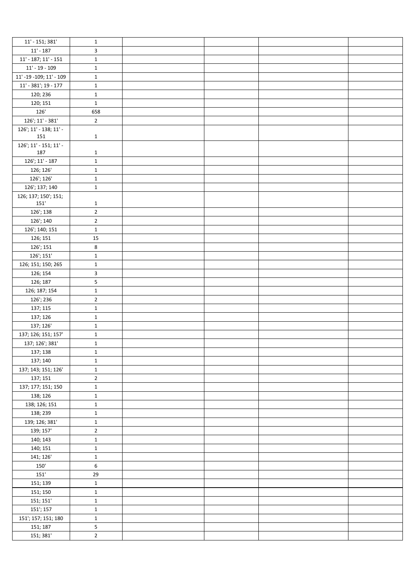| $11' - 151$ ; 381'               | $\mathbf{1}$   |  |  |
|----------------------------------|----------------|--|--|
| $11' - 187$                      | 3              |  |  |
| $11' - 187$ ; $11' - 151$        | $\mathbf 1$    |  |  |
| $11' - 19 - 109$                 | $\mathbf{1}$   |  |  |
| $11'$ -19 -109; 11' - 109        | $\mathbf{1}$   |  |  |
| $11' - 381'$ ; 19 - 177          | $\mathbf{1}$   |  |  |
| 120; 236                         | $\mathbf{1}$   |  |  |
|                                  |                |  |  |
| 120; 151                         | $\mathbf 1$    |  |  |
| 126'                             | 658            |  |  |
| $126$ '; $11'$ - $381'$          | $\overline{2}$ |  |  |
| 126'; 11' - 138; 11' -<br>151    | $\mathbf{1}$   |  |  |
| $126$ '; 11' - 151; 11' -<br>187 | $\mathbf{1}$   |  |  |
| $126$ '; $11'$ - $187$           | $\mathbf{1}$   |  |  |
| 126; 126'                        | $\mathbf{1}$   |  |  |
| 126'; 126'                       | $\mathbf 1$    |  |  |
| 126'; 137; 140                   | $\mathbf 1$    |  |  |
| 126; 137; 150'; 151;<br>151'     | $\mathbf{1}$   |  |  |
| 126'; 138                        | $\mathbf 2$    |  |  |
| 126'; 140                        | $\overline{2}$ |  |  |
| 126'; 140; 151                   | $\mathbf 1$    |  |  |
|                                  | 15             |  |  |
| 126; 151                         |                |  |  |
| 126'; 151                        | 8              |  |  |
| 126'; 151'                       | $\mathbf 1$    |  |  |
| 126; 151; 150; 265               | $\mathbf 1$    |  |  |
| 126; 154                         | $\mathbf{3}$   |  |  |
| 126; 187                         | 5              |  |  |
| 126; 187; 154                    | $\mathbf 1$    |  |  |
| 126'; 236                        | $\overline{2}$ |  |  |
| 137; 115                         | $\mathbf 1$    |  |  |
| 137; 126                         | $\mathbf 1$    |  |  |
| 137; 126'                        | $\mathbf 1$    |  |  |
| 137; 126; 151; 157'              | $\mathbf 1$    |  |  |
| 137; 126'; 381'                  | $\mathbf 1$    |  |  |
| 137; 138                         | $\mathbf{1}$   |  |  |
| 137; 140                         | $\mathbf 1$    |  |  |
| 137; 143; 151; 126'              | $\mathbf 1$    |  |  |
| 137; 151                         | $\overline{2}$ |  |  |
| 137; 177; 151; 150               | $\mathbf 1$    |  |  |
| 138; 126                         | $\mathbf 1$    |  |  |
| 138; 126; 151                    | $\mathbf 1$    |  |  |
| 138; 239                         | $\mathbf 1$    |  |  |
| 139; 126; 381'                   | $\mathbf 1$    |  |  |
| 139; 157'                        | $\mathbf 2$    |  |  |
| 140; 143                         | $\mathbf 1$    |  |  |
| 140; 151                         | $\mathbf 1$    |  |  |
| 141; 126'                        | $\mathbf 1$    |  |  |
| 150'                             | $\,6\,$        |  |  |
| $151^\circ$                      | 29             |  |  |
| 151; 139                         | $\mathbf 1$    |  |  |
| 151; 150                         | $\mathbf 1$    |  |  |
| 151; 151'                        | $\mathbf 1$    |  |  |
| 151'; 157                        | $\mathbf 1$    |  |  |
| 151'; 157; 151; 180              | $\mathbf 1$    |  |  |
| 151; 187                         | $\overline{5}$ |  |  |
| 151; 381'                        | $\mathbf 2$    |  |  |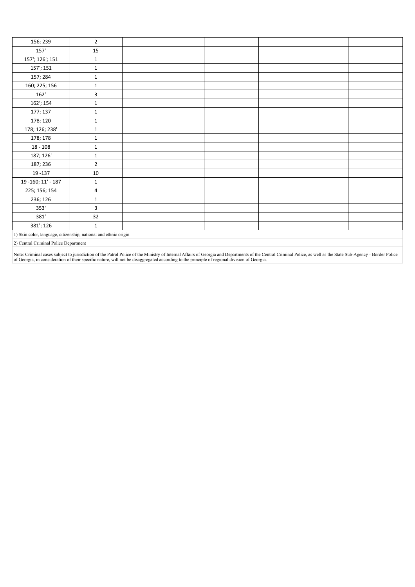| 156; 239                                                         | $\overline{2}$ |  |  |  |  |  |
|------------------------------------------------------------------|----------------|--|--|--|--|--|
| 157                                                              | 15             |  |  |  |  |  |
| 157'; 126'; 151                                                  | $\mathbf{1}$   |  |  |  |  |  |
| 157'; 151                                                        | $\mathbf{1}$   |  |  |  |  |  |
| 157; 284                                                         | $\mathbf{1}$   |  |  |  |  |  |
| 160; 225; 156                                                    | $\mathbf{1}$   |  |  |  |  |  |
| 162'                                                             | 3              |  |  |  |  |  |
| 162'; 154                                                        | $\mathbf{1}$   |  |  |  |  |  |
| 177; 137                                                         | $\mathbf{1}$   |  |  |  |  |  |
| 178; 120                                                         | $\mathbf{1}$   |  |  |  |  |  |
| 178; 126; 238'                                                   | $\mathbf{1}$   |  |  |  |  |  |
| 178; 178                                                         | $\mathbf{1}$   |  |  |  |  |  |
| $18 - 108$                                                       | $\mathbf{1}$   |  |  |  |  |  |
| 187; 126'                                                        | $\mathbf{1}$   |  |  |  |  |  |
| 187; 236                                                         | $\overline{2}$ |  |  |  |  |  |
| 19 - 137                                                         | $10\,$         |  |  |  |  |  |
| 19 - 160; 11' - 187                                              | $\mathbf{1}$   |  |  |  |  |  |
| 225; 156; 154                                                    | 4              |  |  |  |  |  |
| 236; 126                                                         | $\mathbf{1}$   |  |  |  |  |  |
| 353'                                                             | 3              |  |  |  |  |  |
| 381'                                                             | 32             |  |  |  |  |  |
| 381'; 126                                                        | $1\,$          |  |  |  |  |  |
| 1) Skin color, language, citizenship, national and ethnic origin |                |  |  |  |  |  |

2) Central Criminal Police Department

Note: Criminal cases subject to jurisdiction of the Patrol Police of the Ministry of Internal Affairs of Georgia and Departments of the Central Criminal Police, as well as the State Sub-Agency - Border Police<br>of Georgia, i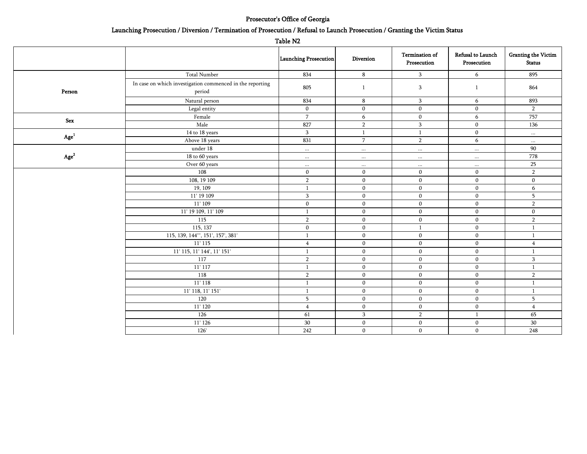#### Prosecutor's Office of Georgia

#### Launching Prosecution / Diversion / Termination of Prosecution / Refusal to Launch Prosecution / Granting the Victim Status

| ı<br>1<br>w<br>г<br>٧ |  |
|-----------------------|--|
|-----------------------|--|

|               |                                                                     | Launching Prosecution | Diversion      | Termination of<br>Prosecution | Refusal to Launch<br>Prosecution | <b>Granting the Victim</b><br><b>Status</b> |
|---------------|---------------------------------------------------------------------|-----------------------|----------------|-------------------------------|----------------------------------|---------------------------------------------|
|               | <b>Total Number</b>                                                 | 834                   | 8              | 3                             | 6                                | 895                                         |
| Person        | In case on which investigation commenced in the reporting<br>period | 805                   | $\overline{1}$ | 3                             | $\mathbf{1}$                     | 864                                         |
|               | Natural person                                                      | 834                   | 8              | 3                             | 6                                | 893                                         |
|               | Legal entity                                                        | $\mathbf{0}$          | $\mathbf{0}$   | $\mathbf 0$                   | $\bf{0}$                         | $\overline{2}$                              |
| Sex           | Female                                                              | $\overline{7}$        | 6              | $\mathbf{0}$                  | 6                                | 757                                         |
|               | Male                                                                | 827                   | $\overline{2}$ | 3                             | $\bf{0}$                         | 136                                         |
|               | 14 to 18 years                                                      | $\mathbf{3}$          | $\mathbf{1}$   | $\mathbf{1}$                  | $\bf{0}$                         | $\cdots$                                    |
| ${\rm Age}^1$ | Above 18 years                                                      | 831                   | $\overline{7}$ | $\overline{2}$                | 6                                | $\cdots$                                    |
|               | under 18                                                            | $\cdots$              | $\cdots$       | $\cdots$                      | $\cdots$                         | 90                                          |
| ${\rm Age}^2$ | 18 to 60 years                                                      | $\cdots$              | $\cdots$       | $\cdots$                      | $\cdots$                         | 778                                         |
|               | Over 60 years                                                       | $\cdots$              | $\cdots$       | $\cdots$                      | $\cdots$                         | 25                                          |
|               | 108                                                                 | $\mathbf 0$           | $\mathbf{0}$   | $\Omega$                      | $\mathbf{0}$                     | $\overline{2}$                              |
|               | 108, 19 109                                                         | $\overline{2}$        | $\bf{0}$       | $\mathbf{0}$                  | $\mathbf{0}$                     | $\mathbf{0}$                                |
|               | 19, 109                                                             | $\mathbf{1}$          | $\mathbf{0}$   | $\mathbf{0}$                  | $\mathbf{0}$                     | 6                                           |
|               | 11' 19 109                                                          | 3                     | $\mathbf 0$    | $\mathbf{0}$                  | $\mathbf{0}$                     | 5                                           |
|               | 11' 109                                                             | $\mathbf{0}$          | $\mathbf 0$    | $\mathbf{0}$                  | $\mathbf{0}$                     | $\overline{2}$                              |
|               | 11' 19 109, 11' 109                                                 | $\mathbf{1}$          | $\mathbf{0}$   | $\mathbf{0}$                  | $\mathbf 0$                      | $\mathbf{0}$                                |
|               | 115                                                                 | $\overline{2}$        | $\mathbf{0}$   | $\mathbf{0}$                  | $\mathbf 0$                      | $\overline{2}$                              |
|               | 115, 137                                                            | $\mathbf 0$           | $\mathbf{0}$   | $\mathbf{1}$                  | $\mathbf{0}$                     | $\mathbf{1}$                                |
|               | 115, 139, 144"', 151', 157', 381'                                   | $\mathbf{1}$          | $\mathbf{0}$   | $\mathbf{0}$                  | $\mathbf{0}$                     | $\mathbf{1}$                                |
|               | $11'$ 115                                                           | $\overline{4}$        | $\mathbf{0}$   | $\mathbf{0}$                  | $\mathbf{0}$                     | $\overline{4}$                              |
|               | 11' 115, 11' 144', 11' 151'                                         | $\mathbf{1}$          | $\mathbf{0}$   | $\mathbf{0}$                  | $\mathbf{0}$                     |                                             |
|               | 117                                                                 | $\overline{2}$        | $\mathbf{0}$   | $\mathbf{0}$                  | $\mathbf{0}$                     | 3                                           |
|               | $11'$ 117                                                           | $\mathbf{1}$          | $\mathbf 0$    | $\mathbf{0}$                  | $\mathbf{0}$                     | $\overline{1}$                              |
|               | 118                                                                 | $\overline{2}$        | $\mathbf 0$    | $\mathbf{0}$                  | $\mathbf{0}$                     | $\overline{2}$                              |
|               | 11' 118                                                             | $\mathbf{1}$          | $\mathbf{0}$   | $\mathbf{0}$                  | $\mathbf{0}$                     | -1                                          |
|               | 11' 118, 11' 151'                                                   | $\mathbf{1}$          | $\mathbf{0}$   | $\mathbf{0}$                  | $\mathbf{0}$                     | -1                                          |
|               | 120                                                                 | 5                     | $\mathbf{0}$   | $\mathbf{0}$                  | $\mathbf{0}$                     | 5                                           |
|               | 11'120                                                              | $\overline{4}$        | $\mathbf{0}$   | $\mathbf{0}$                  | $\mathbf{0}$                     | $\overline{4}$                              |
|               | 126                                                                 | 61                    | $\,$ 3 $\,$    | $\overline{2}$                | $\mathbf{1}$                     | 65                                          |
|               | 11' 126                                                             | 30                    | $\mathbf{0}$   | $\mathbf{0}$                  | $\boldsymbol{0}$                 | 30                                          |
|               | 126'                                                                | 242                   | $\mathbf{0}$   | $\mathbf{0}$                  | $\bf{0}$                         | 248                                         |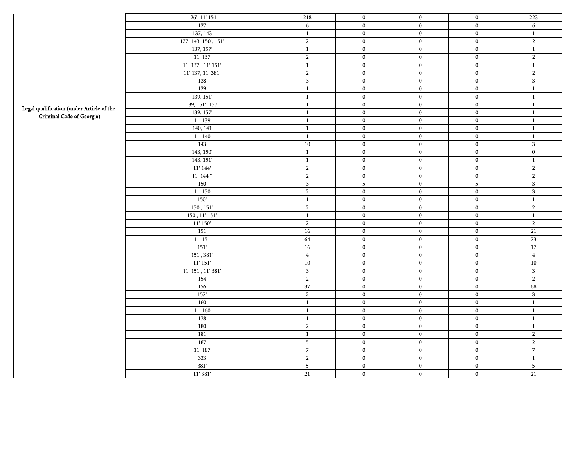|                                           | 126', 11' 151        | 218             | $\bf{0}$                | $\boldsymbol{0}$ | $\boldsymbol{0}$ | 223                      |
|-------------------------------------------|----------------------|-----------------|-------------------------|------------------|------------------|--------------------------|
|                                           | 137                  | 6               | $\boldsymbol{0}$        | $\boldsymbol{0}$ | $\mathbf{0}$     | 6                        |
|                                           | 137, 143             | $\mathbf{1}$    | $\boldsymbol{0}$        | $\boldsymbol{0}$ | $\boldsymbol{0}$ | $\mathbf{1}$             |
|                                           | 137, 143, 150', 151' | $\overline{2}$  | $\boldsymbol{0}$        | $\boldsymbol{0}$ | $\overline{0}$   | $\sqrt{2}$               |
|                                           | 137, 157             | $\mathbf{1}$    | $\boldsymbol{0}$        | $\boldsymbol{0}$ | $\boldsymbol{0}$ | $\,1\,$                  |
|                                           | $11'$ 137            | $\overline{2}$  | $\boldsymbol{0}$        | $\overline{0}$   | $\overline{0}$   | $\overline{2}$           |
|                                           | 11' 137, 11' 151'    | $\mathbf{1}$    | $\bf{0}$                | $\overline{0}$   | $\overline{0}$   | $\mathbf{1}$             |
|                                           | 11' 137, 11' 381'    | $\overline{2}$  | $\boldsymbol{0}$        | $\overline{0}$   | $\overline{0}$   | $\sqrt{2}$               |
|                                           | 138                  | $\,$ 3 $\,$     | $\mathbf 0$             | $\boldsymbol{0}$ | $\mathbf{0}$     | $\sqrt{3}$               |
|                                           | 139                  | $\mathbf{1}$    | $\overline{0}$          | $\overline{0}$   | $\overline{0}$   | $\mathbf{1}$             |
|                                           | 139, 151'            | $\mathbf{1}$    | $\bf{0}$                | $\boldsymbol{0}$ | $\boldsymbol{0}$ | $\mathbf{1}$             |
| Legal qualification (under Article of the | 139, 151', 157'      | $\mathbf{1}$    | $\overline{0}$          | $\overline{0}$   | $\overline{0}$   | $\mathbf{1}$             |
| Criminal Code of Georgia)                 | 139, 157             | $\mathbf{1}$    | $\bf{0}$                | $\boldsymbol{0}$ | $\boldsymbol{0}$ | $\mathbf{1}$             |
|                                           | 11' 139              | $\mathbf{1}$    | $\overline{0}$          | $\boldsymbol{0}$ | $\overline{0}$   | $\mathbf{1}$             |
|                                           | 140, 141             | $\mathbf{1}$    | $\boldsymbol{0}$        | $\boldsymbol{0}$ | $\mathbf{0}$     | $\mathbf{1}$             |
|                                           | 11'140               | $\mathbf{1}$    | $\bf{0}$                | $\boldsymbol{0}$ | $\boldsymbol{0}$ | $\mathbf{1}$             |
|                                           | 143                  | $10\,$          | $\mathbf{0}$            | $\boldsymbol{0}$ | $\boldsymbol{0}$ | $\sqrt{3}$               |
|                                           | 143, 150'            | $\mathbf{1}$    | $\overline{0}$          | $\boldsymbol{0}$ | $\boldsymbol{0}$ | $\overline{0}$           |
|                                           | 143, 151'            | $\mathbf{1}$    | $\boldsymbol{0}$        | $\boldsymbol{0}$ | $\mathbf{0}$     | $\mathbf{1}$             |
|                                           | 11' 144'             | $\overline{2}$  | $\mathbf{0}$            | $\boldsymbol{0}$ | $\mathbf{0}$     | $\overline{2}$           |
|                                           | $11'$ $144'''$       | $\overline{2}$  | $\boldsymbol{0}$        | $\boldsymbol{0}$ | $\boldsymbol{0}$ | $\sqrt{2}$               |
|                                           | 150                  | $\sqrt{3}$      | $\overline{\mathbf{5}}$ | $\boldsymbol{0}$ | $\overline{5}$   | $\sqrt{3}$               |
|                                           | 11' 150              | $\overline{2}$  | $\boldsymbol{0}$        | $\boldsymbol{0}$ | $\mathbf{0}$     | $\overline{\mathbf{3}}$  |
|                                           | 150'                 | $\mathbf{1}$    | $\pmb{0}$               | $\boldsymbol{0}$ | $\boldsymbol{0}$ | $\mathbf{1}$             |
|                                           | 150', 151'           | $\sqrt{2}$      | $\boldsymbol{0}$        | $\boldsymbol{0}$ | $\overline{0}$   | $\overline{2}$           |
|                                           | 150', 11' 151'       | $\mathbf{1}$    | $\boldsymbol{0}$        | $\boldsymbol{0}$ | $\boldsymbol{0}$ | $\,1\,$                  |
|                                           | 11' 150'             | $\overline{2}$  | $\mathbf 0$             | $\boldsymbol{0}$ | $\boldsymbol{0}$ | $\overline{2}$           |
|                                           | 151                  | $\overline{16}$ | $\boldsymbol{0}$        | $\overline{0}$   | $\overline{0}$   | $\overline{21}$          |
|                                           | 11' 151              | 64              | $\mathbf 0$             | $\mathbf{0}$     | $\boldsymbol{0}$ | 73                       |
|                                           | 151'                 | $16\,$          | $\boldsymbol{0}$        | $\boldsymbol{0}$ | $\boldsymbol{0}$ | 17                       |
|                                           | 151', 381'           | $\overline{4}$  | $\mathbf{0}$            | $\mathbf{0}$     | $\mathbf{0}$     | $\overline{4}$           |
|                                           | 11' 151'             | 10              | $\boldsymbol{0}$        | $\boldsymbol{0}$ | $\boldsymbol{0}$ | 10                       |
|                                           | $11'$ 151', 11' 381' | 3               | $\boldsymbol{0}$        | $\boldsymbol{0}$ | $\boldsymbol{0}$ | $\overline{\mathbf{3}}$  |
|                                           | 154                  | $\overline{2}$  | $\boldsymbol{0}$        | $\boldsymbol{0}$ | $\boldsymbol{0}$ | $\overline{2}$           |
|                                           | 156                  | 37              | $\boldsymbol{0}$        | $\overline{0}$   | $\overline{0}$   | 68                       |
|                                           | 157'                 | $\overline{2}$  | $\boldsymbol{0}$        | $\overline{0}$   | $\overline{0}$   | $\overline{3}$           |
|                                           | 160                  | $\mathbf{1}$    | $\mathbf 0$             | $\boldsymbol{0}$ | $\boldsymbol{0}$ | $\mathbf{1}$             |
|                                           | 11'160               | $\mathbf{1}$    | $\mathbf 0$             | $\boldsymbol{0}$ | $\boldsymbol{0}$ | $\mathbf{1}$             |
|                                           | 178                  | $\mathbf{1}$    | $\boldsymbol{0}$        | $\boldsymbol{0}$ | $\mathbf{0}$     | $\mathbf{1}$             |
|                                           | 180                  | $\overline{2}$  | $\mathbf 0$             | $\mathbf{0}$     | $\mathbf{0}$     | $\mathbf{1}$             |
|                                           | 181                  | $\mathbf{1}$    | $\boldsymbol{0}$        | $\overline{0}$   | $\overline{0}$   | $\overline{2}$           |
|                                           | 187                  | $\sqrt{5}$      | $\bf{0}$                | $\mathbf{0}$     | $\boldsymbol{0}$ | $\sqrt{2}$               |
|                                           | 11' 187              | $\sqrt{7}$      | $\boldsymbol{0}$        | $\overline{0}$   | $\overline{0}$   | $\overline{7}$           |
|                                           | 333                  | $\overline{2}$  | $\boldsymbol{0}$        | $\boldsymbol{0}$ | $\boldsymbol{0}$ | $\,1\,$                  |
|                                           | 381'                 | $5\phantom{.0}$ | $\boldsymbol{0}$        | $\boldsymbol{0}$ | $\boldsymbol{0}$ | $\overline{\phantom{0}}$ |
|                                           | 11'381'              | $\overline{21}$ | $\boldsymbol{0}$        | $\boldsymbol{0}$ | $\boldsymbol{0}$ | 21                       |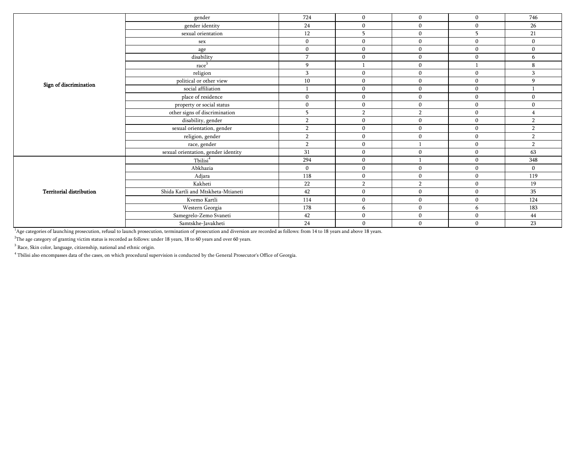|                                 | gender                              | 724              | $\mathbf{0}$   | $\mathbf{0}$ | $\Omega$     | 746            |
|---------------------------------|-------------------------------------|------------------|----------------|--------------|--------------|----------------|
|                                 | gender identity                     | 24               | $\mathbf{0}$   | $\mathbf{0}$ | $\Omega$     | 26             |
|                                 | sexual orientation                  | 12               | 5              | $\mathbf{0}$ | 5            | 21             |
|                                 | sex                                 | $\mathbf{0}$     | $\bf{0}$       | $\bf{0}$     | $\mathbf{0}$ | $\mathbf{0}$   |
|                                 | age                                 | $\mathbf{0}$     | $\mathbf{0}$   | $\mathbf{0}$ | $\mathbf{0}$ | $\mathbf{0}$   |
|                                 | disability                          | $\overline{7}$   | $\mathbf{0}$   | $\mathbf{0}$ | $\Omega$     | 6              |
|                                 | race <sup>3</sup>                   | 9                |                | $\mathbf{0}$ |              | 8              |
|                                 | religion                            | 3                | $\mathbf{0}$   | $\mathbf{0}$ | $\Omega$     | 3              |
|                                 | political or other view             | 10               | $\bf{0}$       | $\bf{0}$     | $\mathbf{0}$ | 9              |
| Sign of discrimination          | social affiliation                  |                  | $\mathbf{0}$   | $\mathbf{0}$ | $\Omega$     |                |
|                                 | place of residence                  | $\mathbf{0}$     | $\mathbf{0}$   | $\mathbf{0}$ | $\Omega$     | $\Omega$       |
|                                 | property or social status           | $\boldsymbol{0}$ | $\mathbf{0}$   | $\mathbf{0}$ | $\Omega$     | $\mathbf{0}$   |
|                                 | other signs of discrimination       | 5                | $\overline{2}$ | 2            | $\mathbf{0}$ |                |
|                                 | disability, gender                  | $\overline{2}$   | $\mathbf{0}$   | $\mathbf{0}$ | $\mathbf{0}$ | $\overline{2}$ |
|                                 | sexual orientation, gender          | $\overline{2}$   | $\mathbf{0}$   | $\mathbf{0}$ | $\Omega$     | $\overline{2}$ |
|                                 | religion, gender                    | $\overline{2}$   | $\bf{0}$       | $\bf{0}$     | $\Omega$     | $\overline{2}$ |
|                                 | race, gender                        | $\overline{2}$   | $\bf{0}$       |              | $\mathbf{0}$ | $\overline{2}$ |
|                                 | sexual orientation, gender identity | 31               | $\mathbf{0}$   | $\mathbf{0}$ | $\mathbf{0}$ | 63             |
|                                 | Tbilisi <sup>4</sup>                | 294              | $\bf{0}$       |              | $\Omega$     | 348            |
|                                 | Abkhazia                            | $\mathbf{0}$     | $\bf{0}$       | $\bf{0}$     | $\mathbf{0}$ | $\mathbf{0}$   |
|                                 | Adjara                              | 118              | $\mathbf{0}$   | $\mathbf{0}$ | $\Omega$     | 119            |
|                                 | Kakheti                             | 22               | $\overline{2}$ | 2            | $\mathbf{0}$ | 19             |
| <b>Territorial distribution</b> | Shida Kartli and Mtskheta-Mtianeti  | 42               | $\mathbf{0}$   | $\mathbf{0}$ | $\Omega$     | 35             |
|                                 | Kvemo Kartli                        | 114              | $\bf{0}$       | $\mathbf{0}$ | $\Omega$     | 124            |
|                                 | Western Georgia                     | 178              | 6              | $\mathbf{0}$ | 6            | 183            |
|                                 | Samegrelo-Zemo Svaneti              | 42               | $\mathbf{0}$   | $\mathbf{0}$ | $\mathbf{0}$ | 44             |
|                                 | Samtskhe-Javakheti                  | 24               | $\bf{0}$       | $\mathbf{0}$ | $\Omega$     | 23             |

<sup>1</sup>Age categories of launching prosecution, refusal to launch prosecution, termination of prosecution and diversion are recorded as follows: from 14 to 18 years and above 18 years.

 $^{2}$ The age category of granting victim status is recorded as follows: under 18 years, 18 to 60 years and over 60 years.

 $3$  Race, Skin color, language, citizenship, national and ethnic origin.

4 Tbilisi also encompasses data of the cases, on which procedural supervision is conducted by the General Prosecutor's Office of Georgia.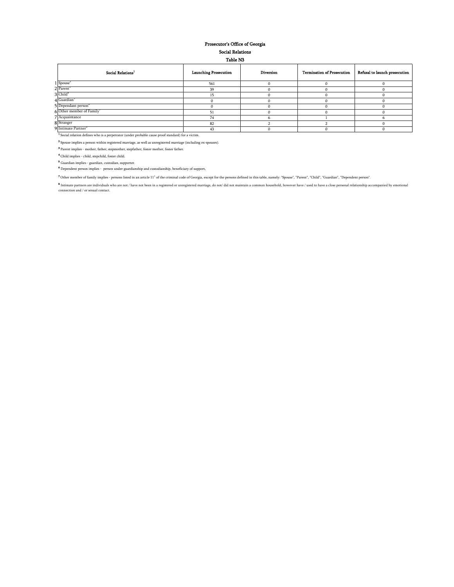#### Social Relations Prosecutor's Office of Georgia

| <b>Table N3</b> |  |
|-----------------|--|
|                 |  |

| Social Relations <sup>1</sup>                                                                                 | <b>Launching Prosecution</b> | <b>Diversion</b> | <b>Termination of Prosecution</b> | Refusal to launch prosecution |
|---------------------------------------------------------------------------------------------------------------|------------------------------|------------------|-----------------------------------|-------------------------------|
| 1 Spouse <sup>2</sup>                                                                                         | 561                          |                  |                                   |                               |
| 2 Parent                                                                                                      | 39                           |                  |                                   |                               |
| 3 Child <sup>*</sup>                                                                                          |                              |                  |                                   |                               |
| 4 Guardian                                                                                                    |                              |                  |                                   |                               |
| 5 Dependant person <sup>o</sup>                                                                               |                              |                  |                                   |                               |
| 6 Other member of Family                                                                                      | 51                           |                  |                                   |                               |
| 7 Acquaintance                                                                                                | 74                           |                  |                                   |                               |
| 8 Stranger                                                                                                    | 82                           |                  |                                   |                               |
| 9 Intimate Partner <sup>®</sup>                                                                               | 43                           |                  |                                   |                               |
| <sup>1</sup> Social relation defines who is a perpetrator (under probable cause proof standard) for a victim. |                              |                  |                                   |                               |

 $\boldsymbol{^{2}}$  Spouse implies a person within registered marriage, as well as unregistered marriage (including ex-spouses).  $\overline{\textbf{3}}$  Parent implies - mother, father, stepmother, stepfather, foster mother, foster father.

 $\spadesuit$  Child implies - child, stepchild, foster child.

Guardian implies - guardian, custodian, supporter.

Dependent person implies - person under guardianship and custodianship, beneficiary of support,

 $^{\bullet}$  Other member of family implies - persons listed in an article  $11^1$  of the criminal code of Georgia, except for the persons defined in this table, namely: "Spouse", "Parent", "Child", "Guardian", "Dependent person

**\*** Intimate partners are individuals who are not / have not been in a registered or unregistered marriage, do not/ did not maintain a common household, however have / used to have a close personal relationship accompanied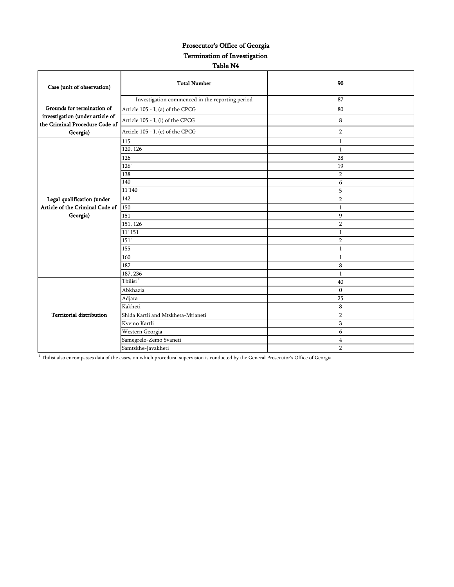#### Prosecutor's Office of Georgia Termination of Investigation Table N4

| Case (unit of observation)                                        | <b>Total Number</b>                             | 90             |
|-------------------------------------------------------------------|-------------------------------------------------|----------------|
|                                                                   | Investigation commenced in the reporting period | 87             |
| Grounds for termination of                                        | Article 105 - I, (a) of the CPCG                | 80             |
| investigation (under article of<br>the Criminal Procedure Code of | Article 105 - I, (i) of the CPCG                | 8              |
| Georgia)                                                          | Article 105 - I, (e) of the CPCG                | $\overline{2}$ |
|                                                                   | 115                                             | $\mathbf{1}$   |
|                                                                   | 120, 126                                        | $\mathbf{1}$   |
|                                                                   | 126                                             | 28             |
|                                                                   | 126'                                            | 19             |
|                                                                   | 138                                             | $\overline{2}$ |
|                                                                   | 140                                             | 6              |
|                                                                   | 11'140                                          | 5              |
| Legal qualification (under                                        | 142                                             | $\overline{2}$ |
| Article of the Criminal Code of                                   | 150                                             | $\mathbf{1}$   |
| Georgia)                                                          | 151                                             | 9              |
|                                                                   | 151, 126                                        | $\overline{2}$ |
|                                                                   | $11'$ 151                                       | $\mathbf{1}$   |
|                                                                   | 151'                                            | $\overline{2}$ |
|                                                                   | 155                                             | $\mathbf{1}$   |
|                                                                   | 160                                             | $\mathbf{1}$   |
|                                                                   | 187                                             | 8              |
|                                                                   | 187, 236                                        | 1              |
|                                                                   | Tbilisi <sup>1</sup>                            | 40             |
|                                                                   | Abkhazia                                        | $\mathbf{0}$   |
|                                                                   | Adjara                                          | 25             |
|                                                                   | Kakheti                                         | 8              |
| <b>Territorial distribution</b>                                   | Shida Kartli and Mtskheta-Mtianeti              | $\overline{2}$ |
|                                                                   | Kvemo Kartli                                    | 3              |
|                                                                   | Western Georgia                                 | 6              |
|                                                                   | Samegrelo-Zemo Svaneti                          | 4              |
|                                                                   | Samtskhe-Javakheti                              | $\overline{2}$ |

1 Tbilisi also encompasses data of the cases, on which procedural supervision is conducted by the General Prosecutor's Office of Georgia.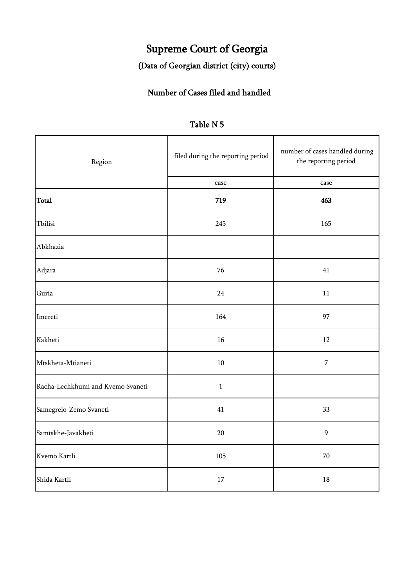# Supreme Court of Georgia

### (Data of Georgian district (city) courts)

### Number of Cases filed and handled

| Region                            | filed during the reporting period | number of cases handled during<br>the reporting period |  |
|-----------------------------------|-----------------------------------|--------------------------------------------------------|--|
|                                   | case                              | case                                                   |  |
| <b>Total</b>                      | 719                               | 463                                                    |  |
| Tbilisi                           | 245                               | 165                                                    |  |
| Abkhazia                          |                                   |                                                        |  |
| Adjara                            | 76                                | 41                                                     |  |
| Guria                             | 24                                | 11                                                     |  |
| Imereti                           | 164                               | 97                                                     |  |
| Kakheti                           | 16                                | 12                                                     |  |
| Mtskheta-Mtianeti                 | $10\,$                            | $\overline{7}$                                         |  |
| Racha-Lechkhumi and Kvemo Svaneti | $\,1\,$                           |                                                        |  |
| Samegrelo-Zemo Svaneti            | $41\,$                            | 33                                                     |  |
| Samtskhe-Javakheti                | $20\,$                            | $\mathbf{9}$                                           |  |
| Kvemo Kartli                      | 105                               | $70\,$                                                 |  |
| Shida Kartli                      | 17                                | 18                                                     |  |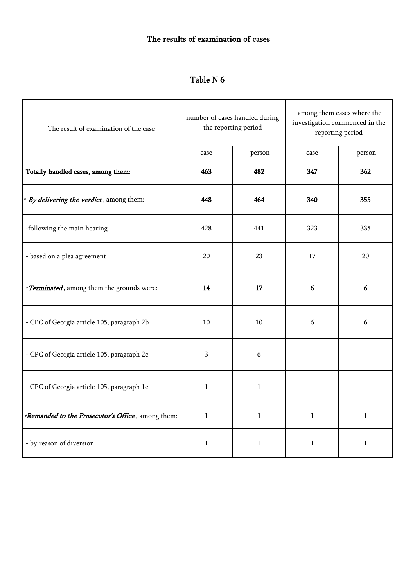### The results of examination of cases

| The result of examination of the case                           | number of cases handled during<br>the reporting period |              | among them cases where the<br>investigation commenced in the<br>reporting period |              |  |  |  |
|-----------------------------------------------------------------|--------------------------------------------------------|--------------|----------------------------------------------------------------------------------|--------------|--|--|--|
|                                                                 | case                                                   | person       | case                                                                             | person       |  |  |  |
| Totally handled cases, among them:                              | 463                                                    | 482          | 347                                                                              | 362          |  |  |  |
| · By delivering the verdict, among them:                        | 448                                                    | 464          | 340                                                                              | 355          |  |  |  |
| -following the main hearing                                     | 428                                                    | 441          | 323                                                                              | 335          |  |  |  |
| - based on a plea agreement                                     | 20                                                     | 23           | 17                                                                               | 20           |  |  |  |
| · Terminated, among them the grounds were:                      | 14                                                     | 17           | 6                                                                                | 6            |  |  |  |
| - CPC of Georgia article 105, paragraph 2b                      | $10\,$                                                 | 10           | 6                                                                                | 6            |  |  |  |
| - CPC of Georgia article 105, paragraph 2c                      | 3                                                      | 6            |                                                                                  |              |  |  |  |
| - CPC of Georgia article 105, paragraph 1e                      | $\mathbf{1}$                                           | $\mathbf{1}$ |                                                                                  |              |  |  |  |
| <i><b>Remanded to the Prosecutor's Office</b></i> , among them: | $\mathbf{1}$                                           | $\mathbf{1}$ | $\mathbf{1}$                                                                     | $\mathbf{1}$ |  |  |  |
| - by reason of diversion                                        | 1                                                      | $\mathbf{1}$ | $\mathbf{1}$                                                                     | $\mathbf{1}$ |  |  |  |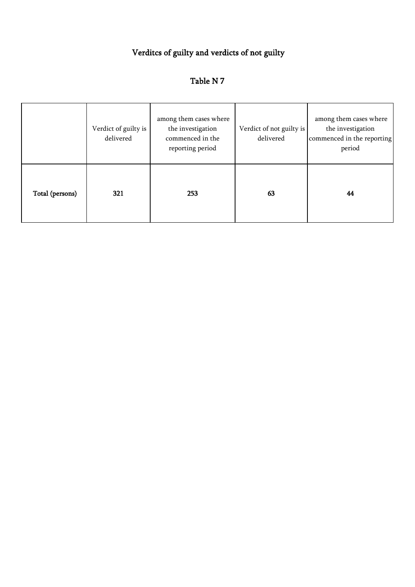# Verditcs of guilty and verdicts of not guilty

|                 | Verdict of guilty is<br>delivered | among them cases where<br>the investigation<br>commenced in the<br>reporting period | Verdict of not guilty is<br>delivered | among them cases where<br>the investigation<br>commenced in the reporting<br>period |
|-----------------|-----------------------------------|-------------------------------------------------------------------------------------|---------------------------------------|-------------------------------------------------------------------------------------|
| Total (persons) | 321                               | 253                                                                                 | 63                                    | 44                                                                                  |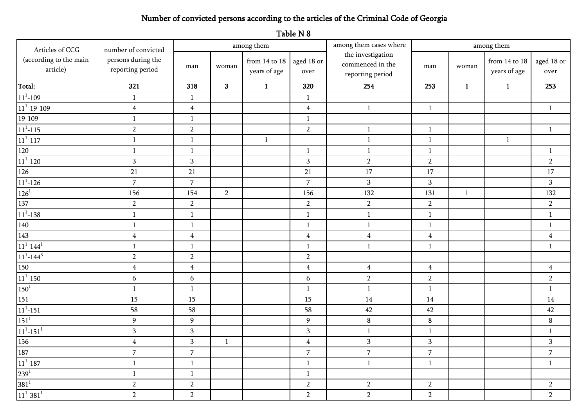# Number of convicted persons according to the articles of the Criminal Code of Georgia

Table N 8

| Articles of CCG                       | number of convicted                    |                         |                | among them                        |                    | among them cases where<br>among them                      |                |              |                               |                    |  |
|---------------------------------------|----------------------------------------|-------------------------|----------------|-----------------------------------|--------------------|-----------------------------------------------------------|----------------|--------------|-------------------------------|--------------------|--|
| (according to the main<br>article)    | persons during the<br>reporting period | man                     | woman          | from $14$ to $18$<br>years of age | aged 18 or<br>over | the investigation<br>commenced in the<br>reporting period | man            | woman        | from 14 to 18<br>years of age | aged 18 or<br>over |  |
| Total:                                | 321                                    | 318                     | 3 <sup>1</sup> | $\mathbf{1}$                      | 320                | 254                                                       | 253            | $\mathbf{1}$ | $\mathbf{1}$                  | 253                |  |
| $11^1 - 109$                          | $\mathbf{1}$                           | 1                       |                |                                   | $\mathbf{1}$       |                                                           |                |              |                               |                    |  |
| $11^1 - 19 - 109$                     | $\overline{4}$                         | $\overline{4}$          |                |                                   | $\overline{4}$     | $\mathbf{1}$                                              | $\mathbf{1}$   |              |                               | $\mathbf{1}$       |  |
| 19-109                                | $\mathbf{1}$                           | $\mathbf{1}$            |                |                                   | $\mathbf{1}$       |                                                           |                |              |                               |                    |  |
| $11^1 - 115$                          | $\sqrt{2}$                             | $\sqrt{2}$              |                |                                   | $\overline{2}$     | $\mathbf{1}$                                              | $\mathbf{1}$   |              |                               | $\mathbf{1}$       |  |
| $11^1 - 117$                          | $\mathbf{1}$                           | $\mathbf{1}$            |                | -1                                |                    | $\mathbf{1}$                                              | $\mathbf{1}$   |              | $\mathbf{1}$                  |                    |  |
| 120                                   | $\mathbf{1}$                           | $\mathbf{1}$            |                |                                   | $\mathbf{1}$       | $\mathbf{1}$                                              | $\mathbf{1}$   |              |                               | $\mathbf{1}$       |  |
| $11^1 - 120$                          | $\mathbf{3}$                           | $\overline{\mathbf{3}}$ |                |                                   | 3                  | $\sqrt{2}$                                                | $\overline{2}$ |              |                               | $\overline{2}$     |  |
| 126                                   | 21                                     | 21                      |                |                                   | 21                 | 17                                                        | 17             |              |                               | 17                 |  |
| $11^1 - 126$                          | $\overline{7}$                         | $\sqrt{2}$              |                |                                   | $\overline{7}$     | $\mathbf{3}$                                              | $\,$ 3 $\,$    |              |                               | $\mathbf{3}$       |  |
| $126^{1}$                             | 156                                    | 154                     | $\overline{2}$ |                                   | 156                | 132                                                       | 131            | $\mathbf{1}$ |                               | 132                |  |
| 137                                   | $\overline{2}$                         | $\overline{2}$          |                |                                   | $\overline{2}$     | $\overline{2}$                                            | $\overline{2}$ |              |                               | $\overline{2}$     |  |
| $11^1 - 138$                          | $\mathbf{1}$                           | $\mathbf{1}$            |                |                                   | $\,1\,$            | $\mathbf{1}$                                              | $\mathbf 1$    |              |                               | $\mathbf{1}$       |  |
| 140                                   | $\mathbf{1}$                           | $\mathbf{1}$            |                |                                   | $\mathbf{1}$       | $1\,$                                                     | $\mathbf{1}$   |              |                               | $\mathbf{1}$       |  |
| 143                                   | $\overline{4}$                         | $\overline{4}$          |                |                                   | $\boldsymbol{4}$   | $\overline{\mathbf{4}}$                                   | $\overline{4}$ |              |                               | $\overline{4}$     |  |
| $11^1 - 144^1$                        | $\mathbf{1}$                           | $\mathbf{1}$            |                |                                   | $\mathbf{1}$       | $\mathbf{1}$                                              | $\mathbf{1}$   |              |                               | $\mathbf{1}$       |  |
| $11^1 - 144^3$                        | $\overline{2}$                         | $\sqrt{2}$              |                |                                   | $\overline{2}$     |                                                           |                |              |                               |                    |  |
| 150                                   | $\overline{4}$                         | $\overline{4}$          |                |                                   | $\overline{4}$     | $\boldsymbol{4}$                                          | $\overline{4}$ |              |                               | $\overline{4}$     |  |
| $11^1 - 150$                          | 6                                      | $\boldsymbol{6}$        |                |                                   | 6                  | $\overline{2}$                                            | $\overline{2}$ |              |                               | $\boldsymbol{2}$   |  |
| $150^{\rm 1}$                         | $\mathbf{1}$                           | $\mathbf{1}$            |                |                                   | $\mathbf{1}$       | $\mathbf{1}$                                              | $\mathbf{1}$   |              |                               | $\mathbf{1}$       |  |
| 151                                   | 15                                     | 15                      |                |                                   | 15                 | 14                                                        | 14             |              |                               | 14                 |  |
| $111 - 151$                           | 58                                     | 58                      |                |                                   | 58                 | 42                                                        | 42             |              |                               | 42                 |  |
| $151^{\rm 1}$                         | $\overline{9}$                         | 9                       |                |                                   | $\boldsymbol{9}$   | $\bf 8$                                                   | $\bf 8$        |              |                               | $\bf 8$            |  |
| $11^1 - 151^1$                        | $\mathbf{3}$                           | $\mathbf 3$             |                |                                   | $\mathbf{3}$       | $\mathbf{1}$                                              | $\mathbf{1}$   |              |                               | $\mathbf{1}$       |  |
| 156                                   | $\overline{4}$                         | $\mathbf{3}$            | $\mathbf{1}$   |                                   | $\overline{4}$     | $\mathbf{3}$                                              | $\sqrt{3}$     |              |                               | $\sqrt{3}$         |  |
| 187                                   | $\overline{7}$                         | $\overline{7}$          |                |                                   | $\overline{7}$     | $\overline{7}$                                            | $\overline{7}$ |              |                               | $\overline{7}$     |  |
| $11^1 - 187$                          | $\mathbf{1}$                           | $\mathbf{1}$            |                |                                   | $\mathbf{1}$       | $\mathbf{1}$                                              | $\mathbf{1}$   |              |                               | $\mathbf{1}$       |  |
| $239^{1}$                             | $\mathbf{1}$                           | $\mathbf{1}$            |                |                                   | $\mathbf{1}$       |                                                           |                |              |                               |                    |  |
| $\mathbf{381}^{1}$                    | $\sqrt{2}$                             | $\overline{2}$          |                |                                   | $\overline{2}$     | $\sqrt{2}$                                                | $\overline{2}$ |              |                               | $\overline{2}$     |  |
| $\mathbf{11}^1\text{-}3\mathbf{81}^1$ | $\overline{2}$                         | $\overline{2}$          |                |                                   | $\overline{2}$     | $\overline{2}$                                            | $\overline{2}$ |              |                               | $\overline{2}$     |  |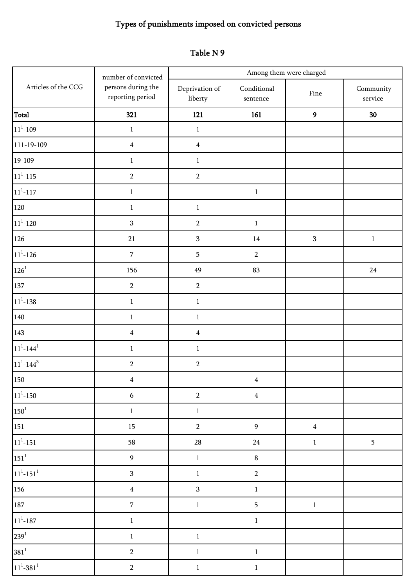# Types of punishments imposed on convicted persons

| Table N 9 |  |  |
|-----------|--|--|
|-----------|--|--|

|                              | number of convicted                    |                           |                                 | Among them were charged |                               |
|------------------------------|----------------------------------------|---------------------------|---------------------------------|-------------------------|-------------------------------|
| Articles of the CCG          | persons during the<br>reporting period | Deprivation of<br>liberty | Conditional<br>${\tt sentence}$ | Fine                    | Community<br>$\mbox{service}$ |
| Total                        | 321                                    | 121                       | 161                             | $\mathbf{9}$            | $30\,$                        |
| $11^1 - 109$                 | $\mathbf{1}$                           | $\mathbf{1}$              |                                 |                         |                               |
| 111-19-109                   | $\overline{\mathbf{4}}$                | $\overline{4}$            |                                 |                         |                               |
| 19-109                       | $1\,$                                  | $\mathbf{1}$              |                                 |                         |                               |
| $11^1 - 115$                 | $\overline{2}$                         | $\sqrt{2}$                |                                 |                         |                               |
| $11^1 - 117$                 | $1\,$                                  |                           | $\,1\,$                         |                         |                               |
| 120                          | $\,1$                                  | $\,1\,$                   |                                 |                         |                               |
| $11^1 - 120$                 | $\mathbf{3}$                           | $\sqrt{2}$                | $\mathbf 1$                     |                         |                               |
| 126                          | 21                                     | $\sqrt{3}$                | $14\,$                          | $\mathbf{3}$            | $\,1$                         |
| $11^1 - 126$                 | $\boldsymbol{7}$                       | $\overline{5}$            | $\overline{2}$                  |                         |                               |
| $126^{\rm{1}}$               | 156                                    | 49                        | 83                              |                         | $24\,$                        |
| 137                          | $\overline{2}$                         | $\sqrt{2}$                |                                 |                         |                               |
| $11^1 - 138$                 | $\mathbf{1}$                           | $1\,$                     |                                 |                         |                               |
| 140                          | $\mathbf{1}$                           | $\mathbf{1}$              |                                 |                         |                               |
| 143                          | $\overline{\mathbf{4}}$                | $\overline{4}$            |                                 |                         |                               |
| $11^1 - 144^1$               | $\mathbf{1}$                           | $\mathbf{1}$              |                                 |                         |                               |
| $11^{1} - 144^{3}$           | $\overline{2}$                         | $\sqrt{2}$                |                                 |                         |                               |
| 150                          | $\overline{4}$                         |                           | $\overline{4}$                  |                         |                               |
| $11^{1} - 150$               | $\sqrt{6}$                             | $\sqrt{2}$                | $\overline{\mathbf{4}}$         |                         |                               |
| $150^1$                      | $\,1$                                  | $\mathbf 1$               |                                 |                         |                               |
| $\boxed{151}$                | $15\,$                                 | $\sqrt{2}$                | $\overline{9}$                  | $\pmb{4}$               |                               |
| $11^1 - 151$                 | 58                                     | 28                        | ${\bf 24}$                      | $\mathbf 1$             | $\overline{5}$                |
| $151^1$                      | $\boldsymbol{9}$                       | $\,1\,$                   | $\bf 8$                         |                         |                               |
| $11^1 - 151^1$               | $\mathbf{3}$                           | $\mathbf{1}$              | $\overline{2}$                  |                         |                               |
| $\frac{156}{ }$              | $\overline{4}$                         | $\mathbf 3$               | $\,1\,$                         |                         |                               |
| 187                          | $\sqrt{7}$                             | $\,1\,$                   | $\overline{\mathbf{5}}$         | $\mathbf{1}$            |                               |
| $\mathbf{11^{1}\text{-}187}$ | $\,1\,$                                |                           | $\,1\,$                         |                         |                               |
| 239 <sup>1</sup>             | $\mathbf 1$                            | $\,1$                     |                                 |                         |                               |
| $381^{1}$                    | $\sqrt{2}$                             | $\,1\,$                   | $\,1\,$                         |                         |                               |
| $11^1 - 381^1$               | $\overline{a}$                         | $\,1\,$                   | $\,1$                           |                         |                               |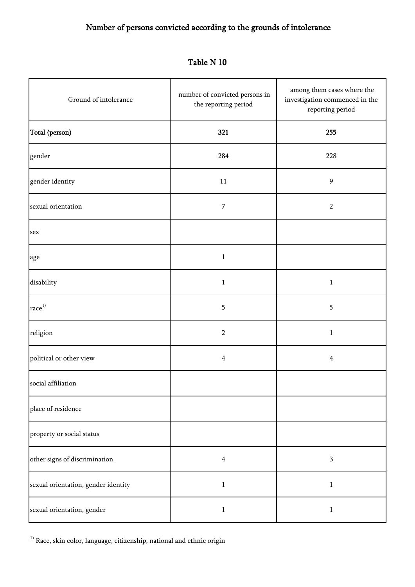| Ground of intolerance               | number of convicted persons in<br>the reporting period | among them cases where the<br>investigation commenced in the<br>reporting period |
|-------------------------------------|--------------------------------------------------------|----------------------------------------------------------------------------------|
| Total (person)                      | 321                                                    | 255                                                                              |
| gender                              | 284                                                    | 228                                                                              |
| gender identity                     | 11                                                     | $\overline{9}$                                                                   |
| sexual orientation                  | 7                                                      | $\sqrt{2}$                                                                       |
| sex                                 |                                                        |                                                                                  |
| age                                 | $\mathbf{1}$                                           |                                                                                  |
| disability                          | $\,1$                                                  | $\mathbf{1}$                                                                     |
| $\mathop{\rm race}\nolimits^{1)}$   | 5                                                      | 5                                                                                |
| religion                            | $\overline{2}$                                         | $\mathbf{1}$                                                                     |
| political or other view             | 4                                                      | $\overline{4}$                                                                   |
| social affiliation                  |                                                        |                                                                                  |
| place of residence                  |                                                        |                                                                                  |
| property or social status           |                                                        |                                                                                  |
| other signs of discrimination       | $\overline{4}$                                         | $\ensuremath{\mathbf{3}}$                                                        |
| sexual orientation, gender identity | $\mathbf{1}$                                           | $\mathbf 1$                                                                      |
| sexual orientation, gender          | $\mathbf{1}$                                           | $\mathbf{1}$                                                                     |

Table N 10

 $^{\rm 1)}$  Race, skin color, language, citizenship, national and ethnic origin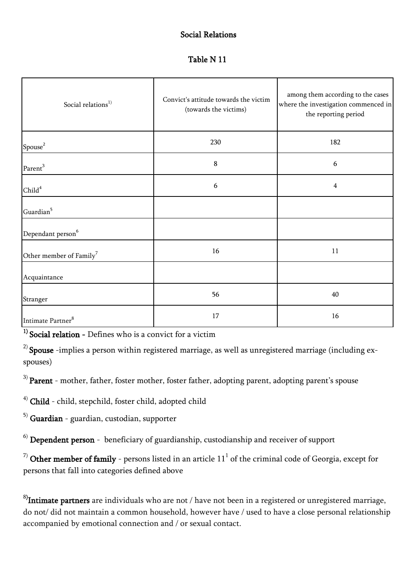#### Social Relations

#### Table N 11

| Social relations <sup>1)</sup>      | Convict's attitude towards the victim<br>(towards the victims) | among them according to the cases<br>where the investigation commenced in<br>the reporting period |
|-------------------------------------|----------------------------------------------------------------|---------------------------------------------------------------------------------------------------|
| $\mbox{Spouse}^2$                   | 230                                                            | 182                                                                                               |
| Parent <sup>3</sup>                 | $\bf 8$                                                        | 6                                                                                                 |
| Child <sup>4</sup>                  | 6                                                              | $\overline{4}$                                                                                    |
| Guardian <sup>5</sup>               |                                                                |                                                                                                   |
| Dependant person <sup>6</sup>       |                                                                |                                                                                                   |
| Other member of Family <sup>7</sup> | 16                                                             | 11                                                                                                |
| Acquaintance                        |                                                                |                                                                                                   |
| Stranger                            | 56                                                             | 40                                                                                                |
| Intimate Partner <sup>8</sup>       | 17                                                             | 16                                                                                                |

 $1)$  Social relation - Defines who is a convict for a victim

 $^{2)}$  Spouse -implies a person within registered marriage, as well as unregistered marriage (including exspouses)

 $3)$  **Parent** - mother, father, foster mother, foster father, adopting parent, adopting parent's spouse

4) Child - child, stepchild, foster child, adopted child

 $5)$  Guardian - guardian, custodian, supporter

 $<sup>6)</sup>$  Dependent person - beneficiary of guardianship, custodianship and receiver of support</sup>

 $^{7)}$  Other member of family - persons listed in an article  $11^1$  of the criminal code of Georgia, except for persons that fall into categories defined above

 $^{8)}$ Intimate partners are individuals who are not / have not been in a registered or unregistered marriage, do not/ did not maintain a common household, however have / used to have a close personal relationship accompanied by emotional connection and / or sexual contact.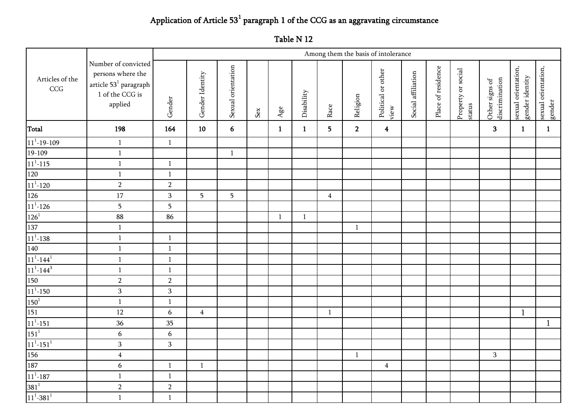### Application of Article  $53<sup>1</sup>$  paragraph 1 of the CCG as an aggravating circumstance

|                                                                                                                                                                                                                                                     |                                                                                                            |                  | Among them the basis of intolerance |                    |     |              |              |                |                |                            |                    |                    |                              |                                  |                                        |                               |
|-----------------------------------------------------------------------------------------------------------------------------------------------------------------------------------------------------------------------------------------------------|------------------------------------------------------------------------------------------------------------|------------------|-------------------------------------|--------------------|-----|--------------|--------------|----------------|----------------|----------------------------|--------------------|--------------------|------------------------------|----------------------------------|----------------------------------------|-------------------------------|
| Articles of the<br>CCG                                                                                                                                                                                                                              | Number of convicted<br>persons where the<br>article ${\bf 53}^1$ paragraph<br>$1$ of the CCG is<br>applied | Gender           | Gender Identity                     | Sexual orientation | Sex | $Age$ e      | Disability   | Race           | Religion       | Political or other<br>view | Social affiliation | Place of residence | Property or social<br>status | Other signs of<br>discrimination | sexual orientation,<br>gender identity | sexual orientation,<br>gender |
| Total                                                                                                                                                                                                                                               | 198                                                                                                        | 164              | $10\,$                              | 6                  |     | $\mathbf{1}$ | $\mathbf{1}$ | 5 <sub>1</sub> | $\overline{2}$ | $\overline{\mathbf{4}}$    |                    |                    |                              | $\overline{\mathbf{3}}$          | $\mathbf{1}$                           | $\mathbf{1}$                  |
|                                                                                                                                                                                                                                                     | $\,1\,$                                                                                                    | $1\,$            |                                     |                    |     |              |              |                |                |                            |                    |                    |                              |                                  |                                        |                               |
| $\frac{11^{1}-19-109}{19-109}$                                                                                                                                                                                                                      | $\,1\,$                                                                                                    |                  |                                     | $\mathbf{1}$       |     |              |              |                |                |                            |                    |                    |                              |                                  |                                        |                               |
| $11^1 - 115$                                                                                                                                                                                                                                        | $\,1$                                                                                                      | $\,1$            |                                     |                    |     |              |              |                |                |                            |                    |                    |                              |                                  |                                        |                               |
| 120                                                                                                                                                                                                                                                 | $\,1\,$                                                                                                    | $1\,$            |                                     |                    |     |              |              |                |                |                            |                    |                    |                              |                                  |                                        |                               |
| $\begin{array}{l} \bf \boxed{11^{1}\text{-}120} \\ \bf \boxed{126} \\ \bf \boxed{11^{1}\text{-}126} \\ \bf \boxed{126^{1}} \\ \bf \boxed{137} \\ \bf \boxed{11^{1}\text{-}138} \\ \bf \boxed{140} \\ \bf \boxed{11^{1}\text{-}144^{1}} \end{array}$ | $\overline{2}$                                                                                             | $\overline{2}$   |                                     |                    |     |              |              |                |                |                            |                    |                    |                              |                                  |                                        |                               |
|                                                                                                                                                                                                                                                     | 17                                                                                                         | $\mathbf{3}$     | $\overline{\mathbf{5}}$             | $5\phantom{.}$     |     |              |              | $\overline{4}$ |                |                            |                    |                    |                              |                                  |                                        |                               |
|                                                                                                                                                                                                                                                     | $\overline{5}$                                                                                             | $\overline{5}$   |                                     |                    |     |              |              |                |                |                            |                    |                    |                              |                                  |                                        |                               |
|                                                                                                                                                                                                                                                     | 88                                                                                                         | 86               |                                     |                    |     | $\mathbf{1}$ | $\mathbf{1}$ |                |                |                            |                    |                    |                              |                                  |                                        |                               |
|                                                                                                                                                                                                                                                     | $\mathbf{1}$                                                                                               |                  |                                     |                    |     |              |              |                | $\mathbf{1}$   |                            |                    |                    |                              |                                  |                                        |                               |
|                                                                                                                                                                                                                                                     | $\,1\,$                                                                                                    | $\mathbf{1}$     |                                     |                    |     |              |              |                |                |                            |                    |                    |                              |                                  |                                        |                               |
|                                                                                                                                                                                                                                                     | $\mathbf{1}$                                                                                               | $\mathbf{1}$     |                                     |                    |     |              |              |                |                |                            |                    |                    |                              |                                  |                                        |                               |
|                                                                                                                                                                                                                                                     | $\mathbf{1}$                                                                                               | $\mathbf{1}$     |                                     |                    |     |              |              |                |                |                            |                    |                    |                              |                                  |                                        |                               |
| $\frac{11^{1}-144^{3}}{150}$<br>$\frac{11^{1}-150}{11^{1}-150}$                                                                                                                                                                                     | $\mathbf{1}$                                                                                               | $\mathbf{1}$     |                                     |                    |     |              |              |                |                |                            |                    |                    |                              |                                  |                                        |                               |
|                                                                                                                                                                                                                                                     | $\overline{2}$                                                                                             | $\overline{2}$   |                                     |                    |     |              |              |                |                |                            |                    |                    |                              |                                  |                                        |                               |
|                                                                                                                                                                                                                                                     | $\mathbf{3}$                                                                                               | 3                |                                     |                    |     |              |              |                |                |                            |                    |                    |                              |                                  |                                        |                               |
| $\frac{150^{1}}{150^{1}}$ $\frac{11^{1}-151}{151^{1}}$ $\frac{11^{1}-151^{1}}{156}$                                                                                                                                                                 | $\mathbf{1}$                                                                                               | $\mathbf{1}$     |                                     |                    |     |              |              |                |                |                            |                    |                    |                              |                                  |                                        |                               |
|                                                                                                                                                                                                                                                     | 12                                                                                                         | $\boldsymbol{6}$ | $\overline{4}$                      |                    |     |              |              | $\mathbf{1}$   |                |                            |                    |                    |                              |                                  | $\mathbf{1}$                           |                               |
|                                                                                                                                                                                                                                                     | 36                                                                                                         | 35               |                                     |                    |     |              |              |                |                |                            |                    |                    |                              |                                  |                                        | $\mathbf{1}$                  |
|                                                                                                                                                                                                                                                     | $\boldsymbol{6}$                                                                                           | $\boldsymbol{6}$ |                                     |                    |     |              |              |                |                |                            |                    |                    |                              |                                  |                                        |                               |
|                                                                                                                                                                                                                                                     | $\mathbf{3}$                                                                                               | $\mathbf{3}$     |                                     |                    |     |              |              |                |                |                            |                    |                    |                              |                                  |                                        |                               |
|                                                                                                                                                                                                                                                     | $\overline{4}$                                                                                             |                  |                                     |                    |     |              |              |                | $\mathbf{1}$   |                            |                    |                    |                              | 3                                |                                        |                               |
| $\frac{187}{187}$ $\frac{11^{1}-187}{381^{1}}$ $\frac{381^{1}}{11^{1}-381^{1}}$                                                                                                                                                                     | $\boldsymbol{6}$                                                                                           | $\,1$            | $\,1\,$                             |                    |     |              |              |                |                | $\overline{4}$             |                    |                    |                              |                                  |                                        |                               |
|                                                                                                                                                                                                                                                     | $\mathbf{1}$                                                                                               | $\mathbf{1}$     |                                     |                    |     |              |              |                |                |                            |                    |                    |                              |                                  |                                        |                               |
|                                                                                                                                                                                                                                                     | $\overline{2}$                                                                                             | $\overline{2}$   |                                     |                    |     |              |              |                |                |                            |                    |                    |                              |                                  |                                        |                               |
|                                                                                                                                                                                                                                                     | $\,1$                                                                                                      | $\,1$            |                                     |                    |     |              |              |                |                |                            |                    |                    |                              |                                  |                                        |                               |